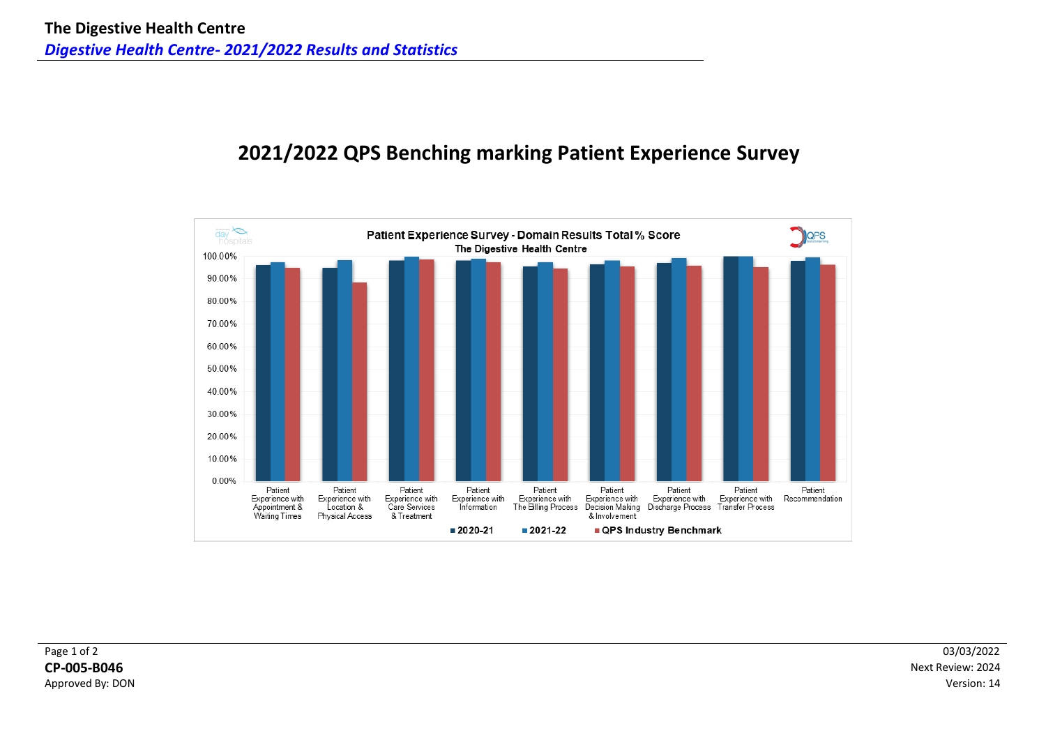# **2021/2022 QPS Benching marking Patient Experience Survey**